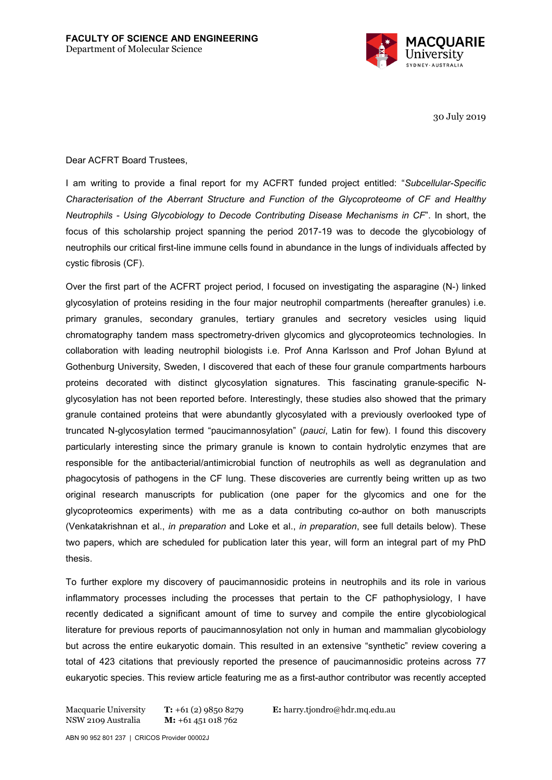

30 July 2019

Dear ACFRT Board Trustees,

I am writing to provide a final report for my ACFRT funded project entitled: "*Subcellular-Specific Characterisation of the Aberrant Structure and Function of the Glycoproteome of CF and Healthy Neutrophils - Using Glycobiology to Decode Contributing Disease Mechanisms in CF*". In short, the focus of this scholarship project spanning the period 2017-19 was to decode the glycobiology of neutrophils our critical first-line immune cells found in abundance in the lungs of individuals affected by cystic fibrosis (CF).

Over the first part of the ACFRT project period, I focused on investigating the asparagine (N-) linked glycosylation of proteins residing in the four major neutrophil compartments (hereafter granules) i.e. primary granules, secondary granules, tertiary granules and secretory vesicles using liquid chromatography tandem mass spectrometry-driven glycomics and glycoproteomics technologies. In collaboration with leading neutrophil biologists i.e. Prof Anna Karlsson and Prof Johan Bylund at Gothenburg University, Sweden, I discovered that each of these four granule compartments harbours proteins decorated with distinct glycosylation signatures. This fascinating granule-specific Nglycosylation has not been reported before. Interestingly, these studies also showed that the primary granule contained proteins that were abundantly glycosylated with a previously overlooked type of truncated N-glycosylation termed "paucimannosylation" (*pauci*, Latin for few). I found this discovery particularly interesting since the primary granule is known to contain hydrolytic enzymes that are responsible for the antibacterial/antimicrobial function of neutrophils as well as degranulation and phagocytosis of pathogens in the CF lung. These discoveries are currently being written up as two original research manuscripts for publication (one paper for the glycomics and one for the glycoproteomics experiments) with me as a data contributing co-author on both manuscripts (Venkatakrishnan et al., *in preparation* and Loke et al., *in preparation*, see full details below). These two papers, which are scheduled for publication later this year, will form an integral part of my PhD thesis.

To further explore my discovery of paucimannosidic proteins in neutrophils and its role in various inflammatory processes including the processes that pertain to the CF pathophysiology, I have recently dedicated a significant amount of time to survey and compile the entire glycobiological literature for previous reports of paucimannosylation not only in human and mammalian glycobiology but across the entire eukaryotic domain. This resulted in an extensive "synthetic" review covering a total of 423 citations that previously reported the presence of paucimannosidic proteins across 77 eukaryotic species. This review article featuring me as a first-author contributor was recently accepted

Macquarie University NSW 2109 Australia **T:** +61 (2) 9850 8279 **M:** +61 451 018 762

**E:** harry.tjondro@hdr.mq.edu.au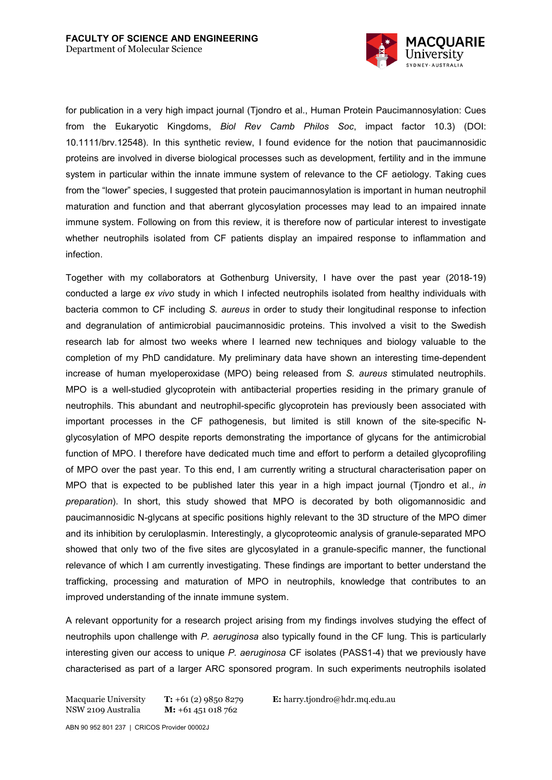

for publication in a very high impact journal (Tjondro et al., Human Protein Paucimannosylation: Cues from the Eukaryotic Kingdoms, *Biol Rev Camb Philos Soc*, impact factor 10.3) (DOI: 10.1111/brv.12548). In this synthetic review, I found evidence for the notion that paucimannosidic proteins are involved in diverse biological processes such as development, fertility and in the immune system in particular within the innate immune system of relevance to the CF aetiology. Taking cues from the "lower" species, I suggested that protein paucimannosylation is important in human neutrophil maturation and function and that aberrant glycosylation processes may lead to an impaired innate immune system. Following on from this review, it is therefore now of particular interest to investigate whether neutrophils isolated from CF patients display an impaired response to inflammation and infection.

Together with my collaborators at Gothenburg University, I have over the past year (2018-19) conducted a large *ex vivo* study in which I infected neutrophils isolated from healthy individuals with bacteria common to CF including *S. aureus* in order to study their longitudinal response to infection and degranulation of antimicrobial paucimannosidic proteins. This involved a visit to the Swedish research lab for almost two weeks where I learned new techniques and biology valuable to the completion of my PhD candidature. My preliminary data have shown an interesting time-dependent increase of human myeloperoxidase (MPO) being released from *S. aureus* stimulated neutrophils. MPO is a well-studied glycoprotein with antibacterial properties residing in the primary granule of neutrophils. This abundant and neutrophil-specific glycoprotein has previously been associated with important processes in the CF pathogenesis, but limited is still known of the site-specific Nglycosylation of MPO despite reports demonstrating the importance of glycans for the antimicrobial function of MPO. I therefore have dedicated much time and effort to perform a detailed glycoprofiling of MPO over the past year. To this end, I am currently writing a structural characterisation paper on MPO that is expected to be published later this year in a high impact journal (Tjondro et al., *in preparation*). In short, this study showed that MPO is decorated by both oligomannosidic and paucimannosidic N-glycans at specific positions highly relevant to the 3D structure of the MPO dimer and its inhibition by ceruloplasmin. Interestingly, a glycoproteomic analysis of granule-separated MPO showed that only two of the five sites are glycosylated in a granule-specific manner, the functional relevance of which I am currently investigating. These findings are important to better understand the trafficking, processing and maturation of MPO in neutrophils, knowledge that contributes to an improved understanding of the innate immune system.

A relevant opportunity for a research project arising from my findings involves studying the effect of neutrophils upon challenge with *P. aeruginosa* also typically found in the CF lung*.* This is particularly interesting given our access to unique *P. aeruginosa* CF isolates (PASS1-4) that we previously have characterised as part of a larger ARC sponsored program. In such experiments neutrophils isolated

```
Macquarie University 
NSW 2109 Australia
                        T: +61 (2) 9850 8279
                        M: +61 451 018 762
```
**E:** harry.tjondro@hdr.mq.edu.au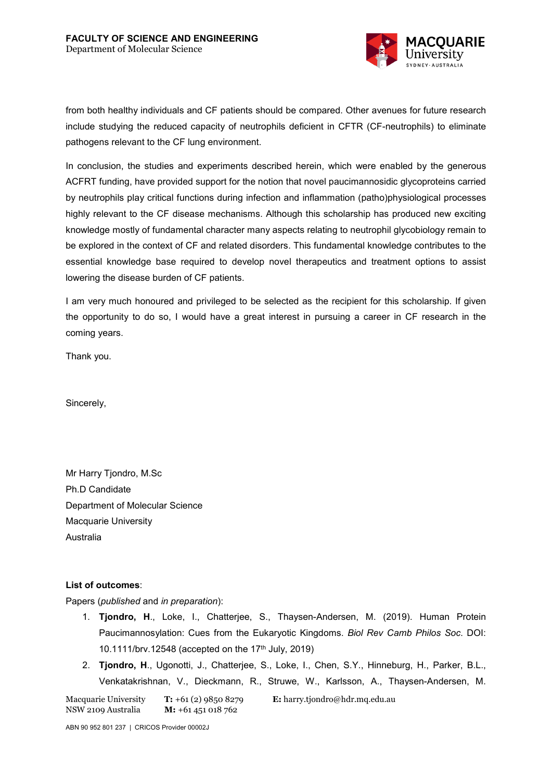

from both healthy individuals and CF patients should be compared. Other avenues for future research include studying the reduced capacity of neutrophils deficient in CFTR (CF-neutrophils) to eliminate pathogens relevant to the CF lung environment.

In conclusion, the studies and experiments described herein, which were enabled by the generous ACFRT funding, have provided support for the notion that novel paucimannosidic glycoproteins carried by neutrophils play critical functions during infection and inflammation (patho)physiological processes highly relevant to the CF disease mechanisms. Although this scholarship has produced new exciting knowledge mostly of fundamental character many aspects relating to neutrophil glycobiology remain to be explored in the context of CF and related disorders. This fundamental knowledge contributes to the essential knowledge base required to develop novel therapeutics and treatment options to assist lowering the disease burden of CF patients.

I am very much honoured and privileged to be selected as the recipient for this scholarship. If given the opportunity to do so, I would have a great interest in pursuing a career in CF research in the coming years.

Thank you.

Sincerely,

Mr Harry Tjondro, M.Sc Ph.D Candidate Department of Molecular Science Macquarie University Australia

## **List of outcomes**:

Papers (*published* and *in preparation*):

- 1. **Tjondro, H**., Loke, I., Chatterjee, S., Thaysen-Andersen, M. (2019). Human Protein Paucimannosylation: Cues from the Eukaryotic Kingdoms. *Biol Rev Camb Philos Soc*. DOI: 10.1111/brv.12548 (accepted on the 17<sup>th</sup> July, 2019)
- 2. **Tjondro, H**., Ugonotti, J., Chatterjee, S., Loke, I., Chen, S.Y., Hinneburg, H., Parker, B.L., Venkatakrishnan, V., Dieckmann, R., Struwe, W., Karlsson, A., Thaysen-Andersen, M.

Macquarie University NSW 2109 Australia **T:** +61 (2) 9850 8279 **M:** +61 451 018 762

**E:** harry.tjondro@hdr.mq.edu.au